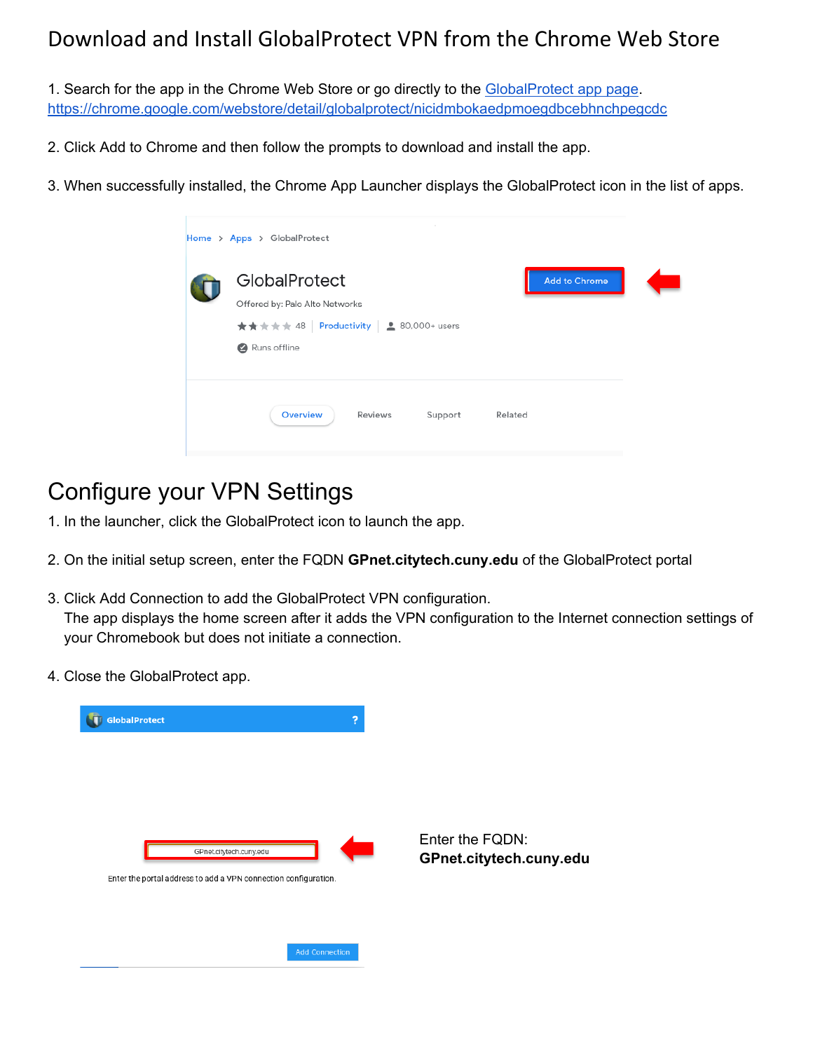#### Download and Install GlobalProtect VPN from the Chrome Web Store

1. Search for the app in the Chrome Web Store or go directly to the [GlobalProtect app page.](https://chrome.google.com/webstore/detail/globalprotect/nicidmbokaedpmoegdbcebhnchpegcdc) <https://chrome.google.com/webstore/detail/globalprotect/nicidmbokaedpmoegdbcebhnchpegcdc>

2. Click Add to Chrome and then follow the prompts to download and install the app.

3. When successfully installed, the Chrome App Launcher displays the GlobalProtect icon in the list of apps.

| Home > Apps > GlobalProtect                                                                                         |                      |  |
|---------------------------------------------------------------------------------------------------------------------|----------------------|--|
| GlobalProtect<br>Offered by: Palo Alto Networks<br>★★★★★ 48   Productivity   <u>2</u> 80,000+ users<br>Runs offline | <b>Add to Chrome</b> |  |
| Overview<br>Reviews<br>Support                                                                                      | Related              |  |

### Configure your VPN Settings

1. In the launcher, click the GlobalProtect icon to launch the app.

- 2. On the initial setup screen, enter the FQDN **[GPnet.citytech.cuny.edu](https://GPnet.citytech.cuny.edu)** of the GlobalProtect portal
- 3. Click Add Connection to add the GlobalProtect VPN configuration. The app displays the home screen after it adds the VPN configuration to the Internet connection settings of your Chromebook but does not initiate a connection.

Enter the FQDN:

**[GPnet.citytech.cuny.edu](https://GPnet.citytech.cuny.edu)**

4. Close the GlobalProtect app.

| GlobalProtect                                                   | 2                       |  |  |  |
|-----------------------------------------------------------------|-------------------------|--|--|--|
|                                                                 |                         |  |  |  |
|                                                                 |                         |  |  |  |
|                                                                 |                         |  |  |  |
|                                                                 | GPnet.citytech.cuny.edu |  |  |  |
| Enter the portal address to add a VPN connection configuration. |                         |  |  |  |
|                                                                 |                         |  |  |  |
|                                                                 |                         |  |  |  |
|                                                                 | <b>Add Connection</b>   |  |  |  |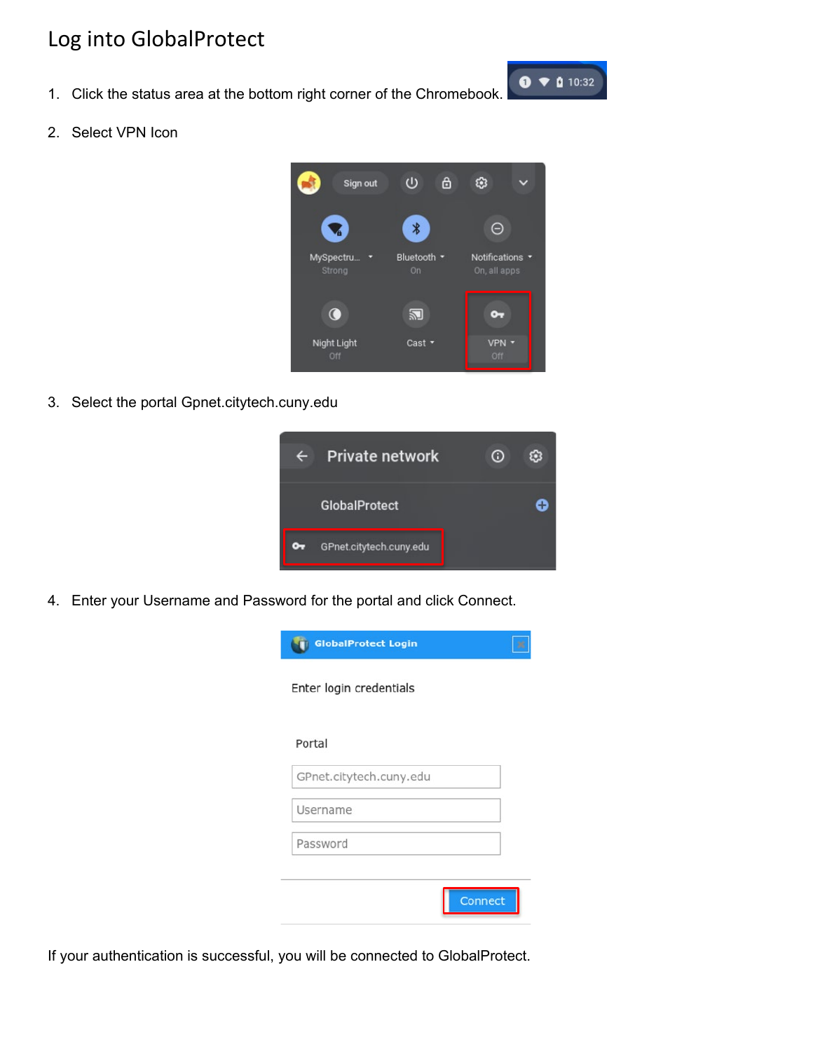#### Log into GlobalProtect

- 1. Click the status area at the bottom right corner of the Chromebook.
- 2. Select VPN Icon



 $\bullet$   $\bullet$  0 10:32

3. Select the portal [Gpnet.citytech.cuny.edu](https://Gpnet.citytech.cuny.edu) 



4. Enter your Username and Password for the portal and click Connect.

| <b>GlobalProtect Login</b> |  |
|----------------------------|--|
| Enter login credentials    |  |
| Portal                     |  |
| GPnet.citytech.cuny.edu    |  |
| Username                   |  |
| Password                   |  |
|                            |  |
| Connect                    |  |

If your authentication is successful, you will be connected to GlobalProtect.